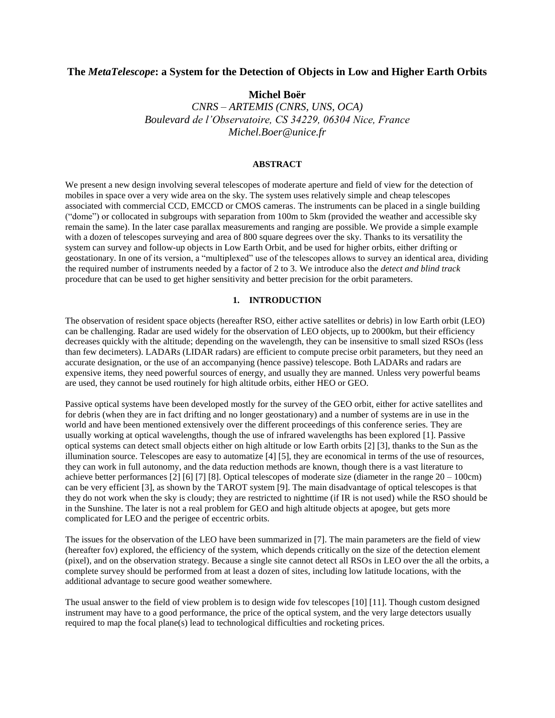# **The** *MetaTelescope***: a System for the Detection of Objects in Low and Higher Earth Orbits**

**Michel Boër**

*CNRS – ARTEMIS (CNRS, UNS, OCA) Boulevard de l'Observatoire, CS 34229, 06304 Nice, France Michel.Boer@unice.fr*

### **ABSTRACT**

We present a new design involving several telescopes of moderate aperture and field of view for the detection of mobiles in space over a very wide area on the sky. The system uses relatively simple and cheap telescopes associated with commercial CCD, EMCCD or CMOS cameras. The instruments can be placed in a single building ("dome") or collocated in subgroups with separation from 100m to 5km (provided the weather and accessible sky remain the same). In the later case parallax measurements and ranging are possible. We provide a simple example with a dozen of telescopes surveying and area of 800 square degrees over the sky. Thanks to its versatility the system can survey and follow-up objects in Low Earth Orbit, and be used for higher orbits, either drifting or geostationary. In one of its version, a "multiplexed" use of the telescopes allows to survey an identical area, dividing the required number of instruments needed by a factor of 2 to 3. We introduce also the *detect and blind track* procedure that can be used to get higher sensitivity and better precision for the orbit parameters.

# **1. INTRODUCTION**

The observation of resident space objects (hereafter RSO, either active satellites or debris) in low Earth orbit (LEO) can be challenging. Radar are used widely for the observation of LEO objects, up to 2000km, but their efficiency decreases quickly with the altitude; depending on the wavelength, they can be insensitive to small sized RSOs (less than few decimeters). LADARs (LIDAR radars) are efficient to compute precise orbit parameters, but they need an accurate designation, or the use of an accompanying (hence passive) telescope. Both LADARs and radars are expensive items, they need powerful sources of energy, and usually they are manned. Unless very powerful beams are used, they cannot be used routinely for high altitude orbits, either HEO or GEO.

Passive optical systems have been developed mostly for the survey of the GEO orbit, either for active satellites and for debris (when they are in fact drifting and no longer geostationary) and a number of systems are in use in the world and have been mentioned extensively over the different proceedings of this conference series. They are usually working at optical wavelengths, though the use of infrared wavelengths has been explored [1]. Passive optical systems can detect small objects either on high altitude or low Earth orbits [2] [3], thanks to the Sun as the illumination source. Telescopes are easy to automatize [4] [5], they are economical in terms of the use of resources, they can work in full autonomy, and the data reduction methods are known, though there is a vast literature to achieve better performances [2] [6] [7] [8]. Optical telescopes of moderate size (diameter in the range 20 – 100cm) can be very efficient [3], as shown by the TAROT system [\[9\]](#page-8-0). The main disadvantage of optical telescopes is that they do not work when the sky is cloudy; they are restricted to nighttime (if IR is not used) while the RSO should be in the Sunshine. The later is not a real problem for GEO and high altitude objects at apogee, but gets more complicated for LEO and the perigee of eccentric orbits.

The issues for the observation of the LEO have been summarized in [7]. The main parameters are the field of view (hereafter fov) explored, the efficiency of the system, which depends critically on the size of the detection element (pixel), and on the observation strategy. Because a single site cannot detect all RSOs in LEO over the all the orbits, a complete survey should be performed from at least a dozen of sites, including low latitude locations, with the additional advantage to secure good weather somewhere.

The usual answer to the field of view problem is to design wide fov telescopes [\[10\]](#page-8-1) [\[11\]](#page-8-2). Though custom designed instrument may have to a good performance, the price of the optical system, and the very large detectors usually required to map the focal plane(s) lead to technological difficulties and rocketing prices.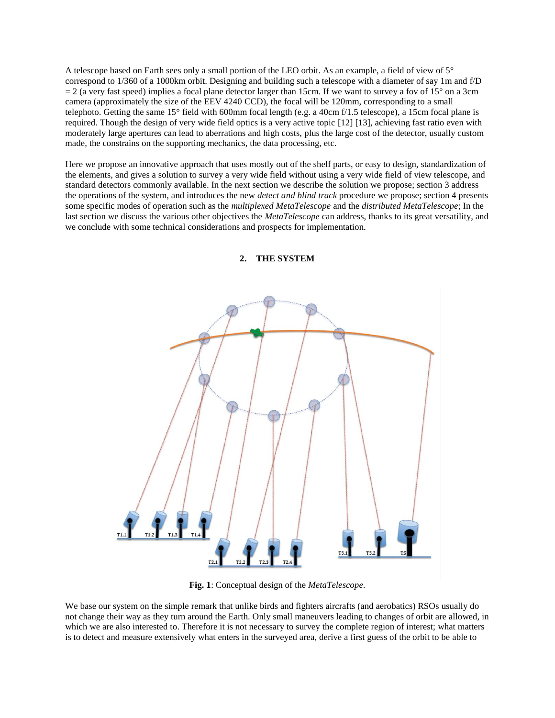A telescope based on Earth sees only a small portion of the LEO orbit. As an example, a field of view of 5° correspond to 1/360 of a 1000km orbit. Designing and building such a telescope with a diameter of say 1m and f/D  $= 2$  (a very fast speed) implies a focal plane detector larger than 15cm. If we want to survey a fov of 15° on a 3cm camera (approximately the size of the EEV 4240 CCD), the focal will be 120mm, corresponding to a small telephoto. Getting the same 15° field with 600mm focal length (e.g. a 40cm f/1.5 telescope), a 15cm focal plane is required. Though the design of very wide field optics is a very active topic [12] [13], achieving fast ratio even with moderately large apertures can lead to aberrations and high costs, plus the large cost of the detector, usually custom made, the constrains on the supporting mechanics, the data processing, etc.

Here we propose an innovative approach that uses mostly out of the shelf parts, or easy to design, standardization of the elements, and gives a solution to survey a very wide field without using a very wide field of view telescope, and standard detectors commonly available. In the next section we describe the solution we propose; section 3 address the operations of the system, and introduces the new *detect and blind track* procedure we propose; section 4 presents some specific modes of operation such as the *multiplexed MetaTelescope* and the *distributed MetaTelescope*; In the last section we discuss the various other objectives the *MetaTelescope* can address, thanks to its great versatility, and we conclude with some technical considerations and prospects for implementation.



**2. THE SYSTEM**

**Fig. 1**: Conceptual design of the *MetaTelescope*.

We base our system on the simple remark that unlike birds and fighters aircrafts (and aerobatics) RSOs usually do not change their way as they turn around the Earth. Only small maneuvers leading to changes of orbit are allowed, in which we are also interested to. Therefore it is not necessary to survey the complete region of interest; what matters is to detect and measure extensively what enters in the surveyed area, derive a first guess of the orbit to be able to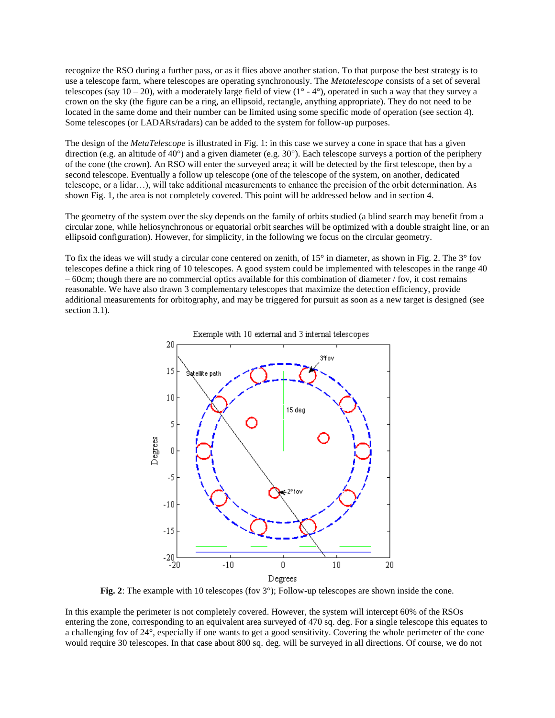recognize the RSO during a further pass, or as it flies above another station. To that purpose the best strategy is to use a telescope farm, where telescopes are operating synchronously. The *Metatelescope* consists of a set of several telescopes (say  $10 - 20$ ), with a moderately large field of view  $(1^{\circ} - 4^{\circ})$ , operated in such a way that they survey a crown on the sky (the figure can be a ring, an ellipsoid, rectangle, anything appropriate). They do not need to be located in the same dome and their number can be limited using some specific mode of operation (see section 4). Some telescopes (or LADARs/radars) can be added to the system for follow-up purposes.

The design of the *MetaTelescope* is illustrated in Fig. 1: in this case we survey a cone in space that has a given direction (e.g. an altitude of 40°) and a given diameter (e.g. 30°). Each telescope surveys a portion of the periphery of the cone (the crown). An RSO will enter the surveyed area; it will be detected by the first telescope, then by a second telescope. Eventually a follow up telescope (one of the telescope of the system, on another, dedicated telescope, or a lidar…), will take additional measurements to enhance the precision of the orbit determination. As shown Fig. 1, the area is not completely covered. This point will be addressed below and in section 4.

The geometry of the system over the sky depends on the family of orbits studied (a blind search may benefit from a circular zone, while heliosynchronous or equatorial orbit searches will be optimized with a double straight line, or an ellipsoid configuration). However, for simplicity, in the following we focus on the circular geometry.

To fix the ideas we will study a circular cone centered on zenith, of 15° in diameter, as shown in Fig. 2. The 3° fov telescopes define a thick ring of 10 telescopes. A good system could be implemented with telescopes in the range 40 – 60cm; though there are no commercial optics available for this combination of diameter / fov, it cost remains reasonable. We have also drawn 3 complementary telescopes that maximize the detection efficiency, provide additional measurements for orbitography, and may be triggered for pursuit as soon as a new target is designed (see section 3.1).



**Fig. 2**: The example with 10 telescopes (fov 3°); Follow-up telescopes are shown inside the cone.

In this example the perimeter is not completely covered. However, the system will intercept 60% of the RSOs entering the zone, corresponding to an equivalent area surveyed of 470 sq. deg. For a single telescope this equates to a challenging fov of 24°, especially if one wants to get a good sensitivity. Covering the whole perimeter of the cone would require 30 telescopes. In that case about 800 sq. deg. will be surveyed in all directions. Of course, we do not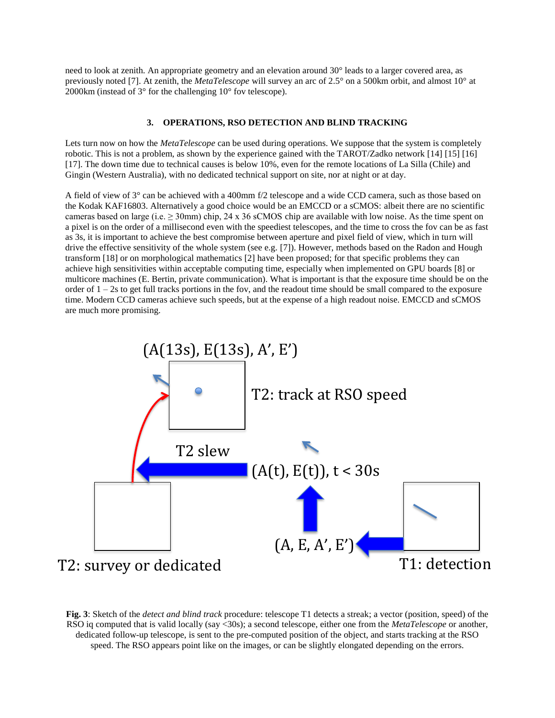need to look at zenith. An appropriate geometry and an elevation around 30° leads to a larger covered area, as previously noted [7]. At zenith, the *MetaTelescope* will survey an arc of 2.5° on a 500km orbit, and almost 10° at 2000km (instead of 3° for the challenging 10° fov telescope).

## **3. OPERATIONS, RSO DETECTION AND BLIND TRACKING**

Lets turn now on how the *MetaTelescope* can be used during operations. We suppose that the system is completely robotic. This is not a problem, as shown by the experience gained with the TAROT/Zadko network [14] [15] [16] [17]. The down time due to technical causes is below 10%, even for the remote locations of La Silla (Chile) and Gingin (Western Australia), with no dedicated technical support on site, nor at night or at day.

A field of view of 3° can be achieved with a 400mm f/2 telescope and a wide CCD camera, such as those based on the Kodak KAF16803. Alternatively a good choice would be an EMCCD or a sCMOS: albeit there are no scientific cameras based on large (i.e.  $\geq$  30mm) chip, 24 x 36 sCMOS chip are available with low noise. As the time spent on a pixel is on the order of a millisecond even with the speediest telescopes, and the time to cross the fov can be as fast as 3s, it is important to achieve the best compromise between aperture and pixel field of view, which in turn will drive the effective sensitivity of the whole system (see e.g. [7]). However, methods based on the Radon and Hough transform [18] or on morphological mathematics [2] have been proposed; for that specific problems they can achieve high sensitivities within acceptable computing time, especially when implemented on GPU boards [8] or multicore machines (E. Bertin, private communication). What is important is that the exposure time should be on the order of  $1 - 2s$  to get full tracks portions in the fov, and the readout time should be small compared to the exposure time. Modern CCD cameras achieve such speeds, but at the expense of a high readout noise. EMCCD and sCMOS are much more promising.



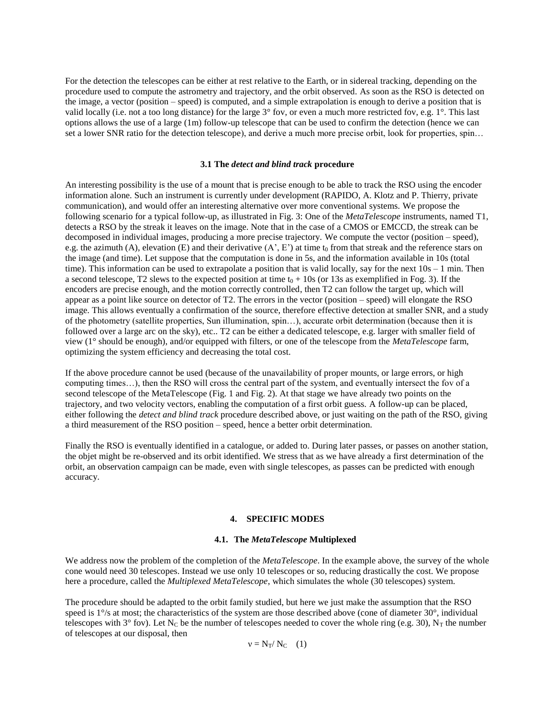For the detection the telescopes can be either at rest relative to the Earth, or in sidereal tracking, depending on the procedure used to compute the astrometry and trajectory, and the orbit observed. As soon as the RSO is detected on the image, a vector (position – speed) is computed, and a simple extrapolation is enough to derive a position that is valid locally (i.e. not a too long distance) for the large 3° fov, or even a much more restricted fov, e.g. 1°. This last options allows the use of a large (1m) follow-up telescope that can be used to confirm the detection (hence we can set a lower SNR ratio for the detection telescope), and derive a much more precise orbit, look for properties, spin…

#### **3.1 The** *detect and blind track* **procedure**

An interesting possibility is the use of a mount that is precise enough to be able to track the RSO using the encoder information alone. Such an instrument is currently under development (RAPIDO, A. Klotz and P. Thierry, private communication), and would offer an interesting alternative over more conventional systems. We propose the following scenario for a typical follow-up, as illustrated in Fig. 3: One of the *MetaTelescope* instruments, named T1, detects a RSO by the streak it leaves on the image. Note that in the case of a CMOS or EMCCD, the streak can be decomposed in individual images, producing a more precise trajectory. We compute the vector (position – speed), e.g. the azimuth (A), elevation (E) and their derivative  $(A', E')$  at time t<sub>0</sub> from that streak and the reference stars on the image (and time). Let suppose that the computation is done in 5s, and the information available in 10s (total time). This information can be used to extrapolate a position that is valid locally, say for the next  $10s - 1$  min. Then a second telescope, T2 slews to the expected position at time  $t_0 + 10s$  (or 13s as exemplified in Fog. 3). If the encoders are precise enough, and the motion correctly controlled, then T2 can follow the target up, which will appear as a point like source on detector of T2. The errors in the vector (position – speed) will elongate the RSO image. This allows eventually a confirmation of the source, therefore effective detection at smaller SNR, and a study of the photometry (satellite properties, Sun illumination, spin…), accurate orbit determination (because then it is followed over a large arc on the sky), etc.. T2 can be either a dedicated telescope, e.g. larger with smaller field of view (1° should be enough), and/or equipped with filters, or one of the telescope from the *MetaTelescope* farm, optimizing the system efficiency and decreasing the total cost.

If the above procedure cannot be used (because of the unavailability of proper mounts, or large errors, or high computing times…), then the RSO will cross the central part of the system, and eventually intersect the fov of a second telescope of the MetaTelescope (Fig. 1 and Fig. 2). At that stage we have already two points on the trajectory, and two velocity vectors, enabling the computation of a first orbit guess. A follow-up can be placed, either following the *detect and blind track* procedure described above, or just waiting on the path of the RSO, giving a third measurement of the RSO position – speed, hence a better orbit determination.

Finally the RSO is eventually identified in a catalogue, or added to. During later passes, or passes on another station, the objet might be re-observed and its orbit identified. We stress that as we have already a first determination of the orbit, an observation campaign can be made, even with single telescopes, as passes can be predicted with enough accuracy.

#### **4. SPECIFIC MODES**

# **4.1. The** *MetaTelescope* **Multiplexed**

We address now the problem of the completion of the *MetaTelescope*. In the example above, the survey of the whole cone would need 30 telescopes. Instead we use only 10 telescopes or so, reducing drastically the cost. We propose here a procedure, called the *Multiplexed MetaTelescope*, which simulates the whole (30 telescopes) system.

The procedure should be adapted to the orbit family studied, but here we just make the assumption that the RSO speed is  $1\degree$ /s at most; the characteristics of the system are those described above (cone of diameter 30°, individual telescopes with  $3^\circ$  fov). Let N<sub>C</sub> be the number of telescopes needed to cover the whole ring (e.g. 30), N<sub>T</sub> the number of telescopes at our disposal, then

 $v = N_T/N_C$  (1)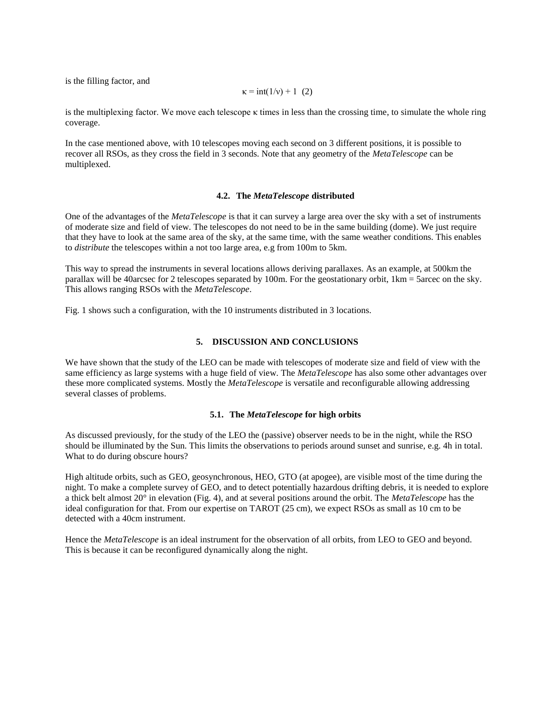is the filling factor, and

$$
\kappa = \text{int}(1/\nu) + 1
$$
 (2)

is the multiplexing factor. We move each telescope κ times in less than the crossing time, to simulate the whole ring coverage.

In the case mentioned above, with 10 telescopes moving each second on 3 different positions, it is possible to recover all RSOs, as they cross the field in 3 seconds. Note that any geometry of the *MetaTelescope* can be multiplexed.

#### **4.2. The** *MetaTelescope* **distributed**

One of the advantages of the *MetaTelescope* is that it can survey a large area over the sky with a set of instruments of moderate size and field of view. The telescopes do not need to be in the same building (dome). We just require that they have to look at the same area of the sky, at the same time, with the same weather conditions. This enables to *distribute* the telescopes within a not too large area, e.g from 100m to 5km.

This way to spread the instruments in several locations allows deriving parallaxes. As an example, at 500km the parallax will be 40arcsec for 2 telescopes separated by 100m. For the geostationary orbit, 1km = 5arcec on the sky. This allows ranging RSOs with the *MetaTelescope*.

Fig. 1 shows such a configuration, with the 10 instruments distributed in 3 locations.

#### **5. DISCUSSION AND CONCLUSIONS**

We have shown that the study of the LEO can be made with telescopes of moderate size and field of view with the same efficiency as large systems with a huge field of view. The *MetaTelescope* has also some other advantages over these more complicated systems. Mostly the *MetaTelescope* is versatile and reconfigurable allowing addressing several classes of problems.

### **5.1. The** *MetaTelescope* **for high orbits**

As discussed previously, for the study of the LEO the (passive) observer needs to be in the night, while the RSO should be illuminated by the Sun. This limits the observations to periods around sunset and sunrise, e.g. 4h in total. What to do during obscure hours?

High altitude orbits, such as GEO, geosynchronous, HEO, GTO (at apogee), are visible most of the time during the night. To make a complete survey of GEO, and to detect potentially hazardous drifting debris, it is needed to explore a thick belt almost 20° in elevation (Fig. 4), and at several positions around the orbit. The *MetaTelescope* has the ideal configuration for that. From our expertise on TAROT (25 cm), we expect RSOs as small as 10 cm to be detected with a 40cm instrument.

Hence the *MetaTelescope* is an ideal instrument for the observation of all orbits, from LEO to GEO and beyond. This is because it can be reconfigured dynamically along the night.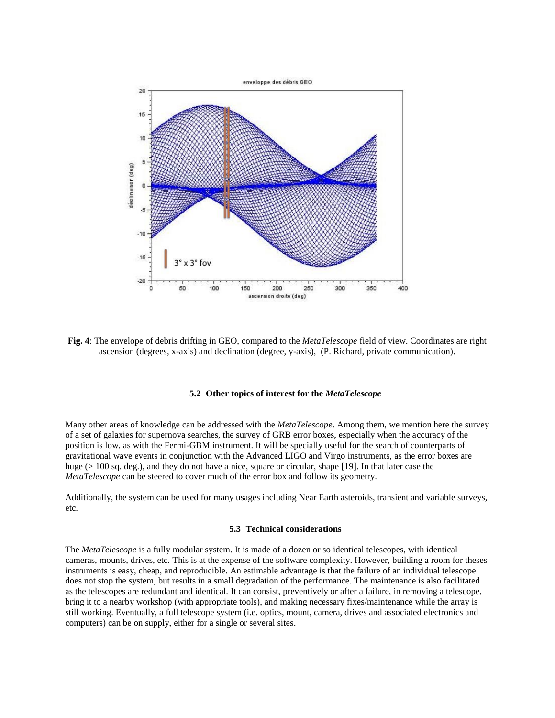

**Fig. 4**: The envelope of debris drifting in GEO, compared to the *MetaTelescope* field of view. Coordinates are right ascension (degrees, x-axis) and declination (degree, y-axis), (P. Richard, private communication).

## **5.2 Other topics of interest for the** *MetaTelescope*

Many other areas of knowledge can be addressed with the *MetaTelescope*. Among them, we mention here the survey of a set of galaxies for supernova searches, the survey of GRB error boxes, especially when the accuracy of the position is low, as with the Fermi-GBM instrument. It will be specially useful for the search of counterparts of gravitational wave events in conjunction with the Advanced LIGO and Virgo instruments, as the error boxes are huge ( $> 100$  sq. deg.), and they do not have a nice, square or circular, shape [\[19\]](#page-9-0). In that later case the *MetaTelescope* can be steered to cover much of the error box and follow its geometry.

Additionally, the system can be used for many usages including Near Earth asteroids, transient and variable surveys, etc.

#### **5.3 Technical considerations**

The *MetaTelescope* is a fully modular system. It is made of a dozen or so identical telescopes, with identical cameras, mounts, drives, etc. This is at the expense of the software complexity. However, building a room for theses instruments is easy, cheap, and reproducible. An estimable advantage is that the failure of an individual telescope does not stop the system, but results in a small degradation of the performance. The maintenance is also facilitated as the telescopes are redundant and identical. It can consist, preventively or after a failure, in removing a telescope, bring it to a nearby workshop (with appropriate tools), and making necessary fixes/maintenance while the array is still working. Eventually, a full telescope system (i.e. optics, mount, camera, drives and associated electronics and computers) can be on supply, either for a single or several sites.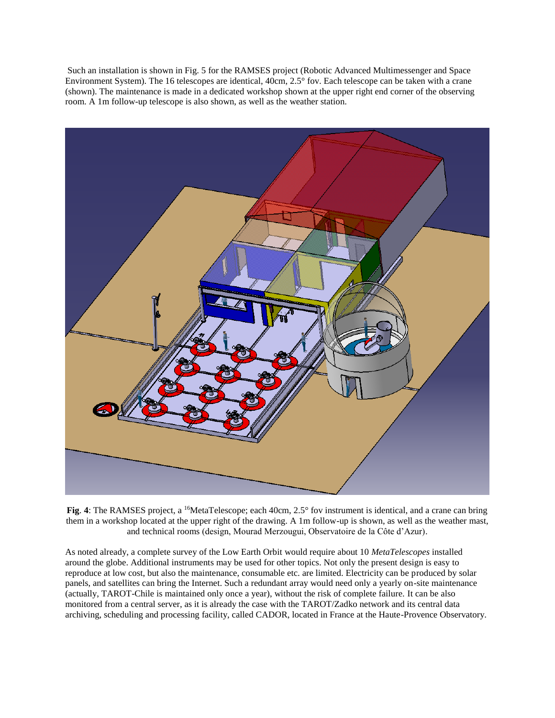Such an installation is shown in Fig. 5 for the RAMSES project (Robotic Advanced Multimessenger and Space Environment System). The 16 telescopes are identical, 40cm, 2.5° fov. Each telescope can be taken with a crane (shown). The maintenance is made in a dedicated workshop shown at the upper right end corner of the observing room. A 1m follow-up telescope is also shown, as well as the weather station.



Fig. 4: The RAMSES project, a <sup>16</sup>MetaTelescope; each 40cm, 2.5° fov instrument is identical, and a crane can bring them in a workshop located at the upper right of the drawing. A 1m follow-up is shown, as well as the weather mast, and technical rooms (design, Mourad Merzougui, Observatoire de la Côte d'Azur).

As noted already, a complete survey of the Low Earth Orbit would require about 10 *MetaTelescopes* installed around the globe. Additional instruments may be used for other topics. Not only the present design is easy to reproduce at low cost, but also the maintenance, consumable etc. are limited. Electricity can be produced by solar panels, and satellites can bring the Internet. Such a redundant array would need only a yearly on-site maintenance (actually, TAROT-Chile is maintained only once a year), without the risk of complete failure. It can be also monitored from a central server, as it is already the case with the TAROT/Zadko network and its central data archiving, scheduling and processing facility, called CADOR, located in France at the Haute-Provence Observatory.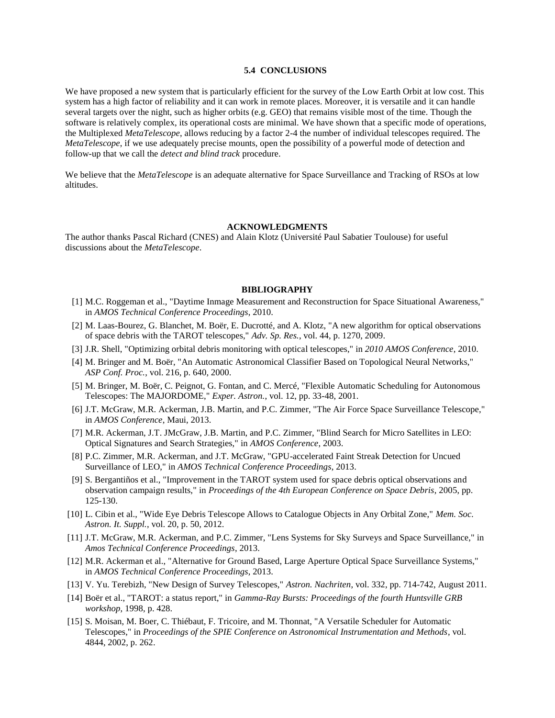# **5.4 CONCLUSIONS**

We have proposed a new system that is particularly efficient for the survey of the Low Earth Orbit at low cost. This system has a high factor of reliability and it can work in remote places. Moreover, it is versatile and it can handle several targets over the night, such as higher orbits (e.g. GEO) that remains visible most of the time. Though the software is relatively complex, its operational costs are minimal. We have shown that a specific mode of operations, the Multiplexed *MetaTelescope*, allows reducing by a factor 2-4 the number of individual telescopes required. The *MetaTelescope*, if we use adequately precise mounts, open the possibility of a powerful mode of detection and follow-up that we call the *detect and blind track* procedure.

We believe that the *MetaTelescope* is an adequate alternative for Space Surveillance and Tracking of RSOs at low altitudes.

#### **ACKNOWLEDGMENTS**

The author thanks Pascal Richard (CNES) and Alain Klotz (Université Paul Sabatier Toulouse) for useful discussions about the *MetaTelescope*.

#### **BIBLIOGRAPHY**

- [1] M.C. Roggeman et al., "Daytime Inmage Measurement and Reconstruction for Space Situational Awareness," in *AMOS Technical Conference Proceedings*, 2010.
- [2] M. Laas-Bourez, G. Blanchet, M. Boër, E. Ducrotté, and A. Klotz, "A new algorithm for optical observations of space debris with the TAROT telescopes," *Adv. Sp. Res.*, vol. 44, p. 1270, 2009.
- [3] J.R. Shell, "Optimizing orbital debris monitoring with optical telescopes," in *2010 AMOS Conference*, 2010.
- [4] M. Bringer and M. Boër, "An Automatic Astronomical Classifier Based on Topological Neural Networks," *ASP Conf. Proc.*, vol. 216, p. 640, 2000.
- [5] M. Bringer, M. Boër, C. Peignot, G. Fontan, and C. Mercé, "Flexible Automatic Scheduling for Autonomous Telescopes: The MAJORDOME," *Exper. Astron.*, vol. 12, pp. 33-48, 2001.
- [6] J.T. McGraw, M.R. Ackerman, J.B. Martin, and P.C. Zimmer, "The Air Force Space Surveillance Telescope," in *AMOS Conference*, Maui, 2013.
- [7] M.R. Ackerman, J.T. JMcGraw, J.B. Martin, and P.C. Zimmer, "Blind Search for Micro Satellites in LEO: Optical Signatures and Search Strategies," in *AMOS Conference*, 2003.
- [8] P.C. Zimmer, M.R. Ackerman, and J.T. McGraw, "GPU-accelerated Faint Streak Detection for Uncued Surveillance of LEO," in *AMOS Technical Conference Proceedings*, 2013.
- <span id="page-8-0"></span>[9] S. Bergantiños et al., "Improvement in the TAROT system used for space debris optical observations and observation campaign results," in *Proceedings of the 4th European Conference on Space Debris*, 2005, pp. 125-130.
- <span id="page-8-1"></span>[10] L. Cibin et al., "Wide Eye Debris Telescope Allows to Catalogue Objects in Any Orbital Zone," *Mem. Soc. Astron. It. Suppl.*, vol. 20, p. 50, 2012.
- <span id="page-8-2"></span>[11] J.T. McGraw, M.R. Ackerman, and P.C. Zimmer, "Lens Systems for Sky Surveys and Space Surveillance," in *Amos Technical Conference Proceedings*, 2013.
- [12] M.R. Ackerman et al., "Alternative for Ground Based, Large Aperture Optical Space Surveillance Systems," in *AMOS Technical Conference Proceedings*, 2013.
- [13] V. Yu. Terebizh, "New Design of Survey Telescopes," *Astron. Nachriten*, vol. 332, pp. 714-742, August 2011.
- [14] Boër et al., "TAROT: a status report," in *Gamma-Ray Bursts: Proceedings of the fourth Huntsville GRB workshop*, 1998, p. 428.
- [15] S. Moisan, M. Boer, C. Thiébaut, F. Tricoire, and M. Thonnat, "A Versatile Scheduler for Automatic Telescopes," in *Proceedings of the SPIE Conference on Astronomical Instrumentation and Methods*, vol. 4844, 2002, p. 262.